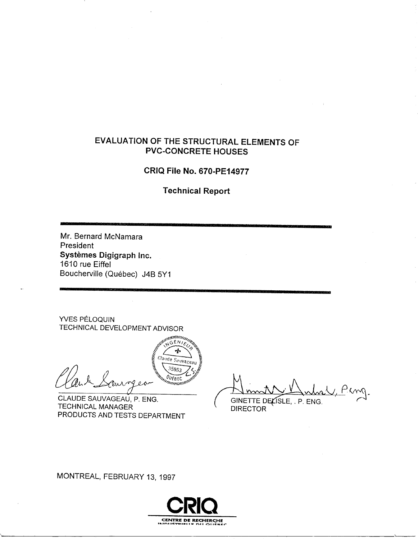## EVALUATION OF THE STRUCTURAL ELEMENTS OF **PVC-CONCRETE HOUSES**

# **CRIQ File No. 670-PE14977**

**Technical Report** 

Mr. Bernard McNamara President Systèmes Digigraph Inc. 1610 rue Eiffel Boucherville (Québec) J4B 5Y1

YVES PÉLOQUIN TECHNICAL DEVELOPMENT ADVISOR

Claude Sauvageau 35863 OUFBEC ألزرن 'umul

unna GËN.

CLAUDE SAUVAGEAU, P. ENG. **TECHNICAL MANAGER** PRODUCTS AND TESTS DEPARTMENT

Ping. GINETTE DELISLE, . P. ENG.

**DIRECTOR** 

MONTREAL, FEBRUARY 13, 1997

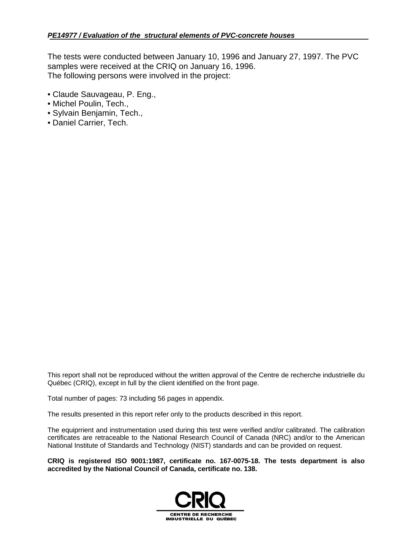The tests were conducted between January 10, 1996 and January 27, 1997. The PVC samples were received at the CRIQ on January 16, 1996. The following persons were involved in the project:

- Claude Sauvageau, P. Eng.,
- Michel Poulin, Tech.,
- Sylvain Benjamin, Tech.,
- Daniel Carrier, Tech.

This report shall not be reproduced without the written approval of the Centre de recherche industrielle du Québec (CRIQ), except in full by the client identified on the front page.

Total number of pages: 73 including 56 pages in appendix.

The results presented in this report refer only to the products described in this report.

The equiprrient and instrumentation used during this test were verified and/or calibrated. The calibration certificates are retraceable to the National Research Council of Canada (NRC) and/or to the American National Institute of Standards and Technology (NIST) standards and can be provided on request.

**CRIQ is registered ISO 9001:1987, certificate no. 167-0075-18. The tests department is also accredited by the National Council of Canada, certificate no. 138.**

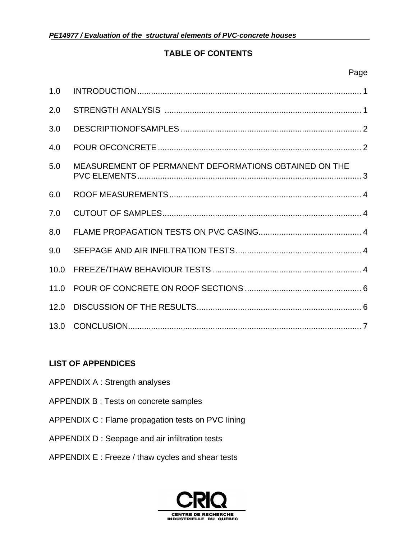## **TABLE OF CONTENTS**

| 1.0  |                                                       |  |
|------|-------------------------------------------------------|--|
| 2.0  |                                                       |  |
| 3.0  |                                                       |  |
| 4.0  |                                                       |  |
| 5.0  | MEASUREMENT OF PERMANENT DEFORMATIONS OBTAINED ON THE |  |
| 6.0  |                                                       |  |
| 7.0  |                                                       |  |
| 8.0  |                                                       |  |
| 9.0  |                                                       |  |
| 10.0 |                                                       |  |
|      |                                                       |  |
| 12.0 |                                                       |  |
|      |                                                       |  |

## **LIST OF APPENDICES**

- APPENDIX A : Strength analyses
- APPENDlX B : Tests on concrete samples
- APPENDIX C : Flame propagation tests on PVC Iining
- APPENDIX D : Seepage and air infiltration tests
- APPENDIX E : Freeze / thaw cycles and shear tests

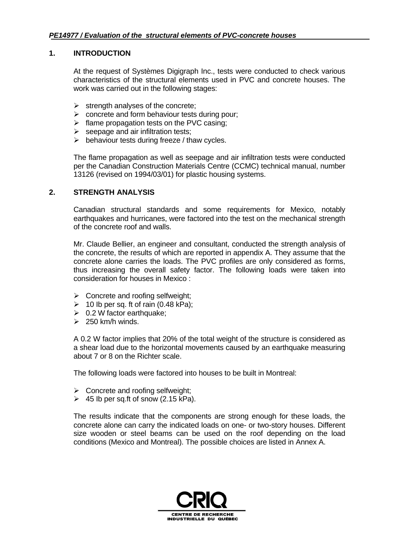#### **1. INTRODUCTION**

At the request of Systèmes Digigraph Inc., tests were conducted to check various characteristics of the structural elements used in PVC and concrete houses. The work was carried out in the following stages:

- $\triangleright$  strength analyses of the concrete;
- $\triangleright$  concrete and form behaviour tests during pour;
- $\triangleright$  flame propagation tests on the PVC casing;
- $\triangleright$  seepage and air infiltration tests;
- $\triangleright$  behaviour tests during freeze / thaw cycles.

The flame propagation as well as seepage and air infiltration tests were conducted per the Canadian Construction Materials Centre (CCMC) technical manual, number 13126 (revised on 1994/03/01) for plastic housing systems.

#### **2. STRENGTH ANALYSIS**

Canadian structural standards and some requirements for Mexico, notably earthquakes and hurricanes, were factored into the test on the mechanical strength of the concrete roof and walls.

Mr. Claude Bellier, an engineer and consultant, conducted the strength analysis of the concrete, the results of which are reported in appendix A. They assume that the concrete alone carries the loads. The PVC profiles are only considered as forms, thus increasing the overall safety factor. The following loads were taken into consideration for houses in Mexico :

- $\triangleright$  Concrete and roofing selfweight;
- $\geq$  10 lb per sq. ft of rain (0.48 kPa);
- $\geqslant$  0.2 W factor earthquake;
- $\geq$  250 km/h winds.

A 0.2 W factor implies that 20% of the total weight of the structure is considered as a shear load due to the horizontal movements caused by an earthquake measuring about 7 or 8 on the Richter scale.

The following loads were factored into houses to be built in Montreal:

- $\triangleright$  Concrete and roofing selfweight;
- $\geq$  45 lb per sq.ft of snow (2.15 kPa).

The results indicate that the components are strong enough for these loads, the concrete alone can carry the indicated loads on one- or two-story houses. Different size wooden or steel beams can be used on the roof depending on the load conditions (Mexico and Montreal). The possible choices are listed in Annex A.

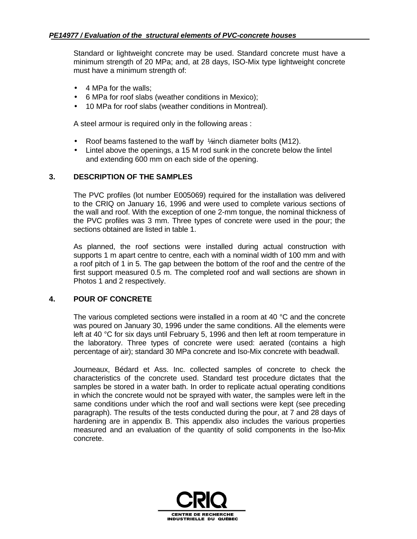Standard or lightweight concrete may be used. Standard concrete must have a minimum strength of 20 MPa; and, at 28 days, ISO-Mix type lightweight concrete must have a minimum strength of:

- 4 MPa for the walls:
- 6 MPa for roof slabs (weather conditions in Mexico);
- 10 MPa for roof slabs (weather conditions in Montreal).

A steel armour is required only in the following areas :

- Roof beams fastened to the waff by  $\frac{1}{2}$ inch diameter bolts (M12).
- Lintel above the openings, a 15 M rod sunk in the concrete below the lintel and extending 600 mm on each side of the opening.

#### **3. DESCRIPTION OF THE SAMPLES**

The PVC profiles (lot number E005069) required for the installation was delivered to the CRIQ on January 16, 1996 and were used to complete various sections of the wall and roof. With the exception of one 2-mm tongue, the nominal thickness of the PVC profiles was 3 mm. Three types of concrete were used in the pour; the sections obtained are listed in table 1.

As planned, the roof sections were installed during actual construction with supports 1 m apart centre to centre, each with a nominal width of 100 mm and with a roof pitch of 1 in 5. The gap between the bottom of the roof and the centre of the first support measured 0.5 m. The completed roof and wall sections are shown in Photos 1 and 2 respectively.

## **4. POUR OF CONCRETE**

The various completed sections were installed in a room at 40 °C and the concrete was poured on January 30, 1996 under the same conditions. All the elements were left at 40 °C for six days until February 5, 1996 and then left at room temperature in the laboratory. Three types of concrete were used: aerated (contains a high percentage of air); standard 30 MPa concrete and Iso-Mix concrete with beadwall.

Journeaux, Bédard et Ass. Inc. collected samples of concrete to check the characteristics of the concrete used. Standard test procedure dictates that the samples be stored in a water bath. In order to replicate actual operating conditions in which the concrete would not be sprayed with water, the samples were left in the same conditions under which the roof and wall sections were kept (see preceding paragraph). The results of the tests conducted during the pour, at 7 and 28 days of hardening are in appendix B. This appendix also includes the various properties measured and an evaluation of the quantity of solid components in the lso-Mix concrete.

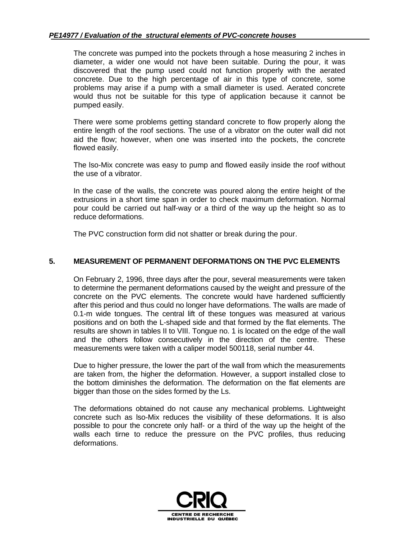The concrete was pumped into the pockets through a hose measuring 2 inches in diameter, a wider one would not have been suitable. During the pour, it was discovered that the pump used could not function properly with the aerated concrete. Due to the high percentage of air in this type of concrete, some problems may arise if a pump with a small diameter is used. Aerated concrete would thus not be suitable for this type of application because it cannot be pumped easily.

There were some problems getting standard concrete to flow properly along the entire length of the roof sections. The use of a vibrator on the outer wall did not aid the flow; however, when one was inserted into the pockets, the concrete flowed easily.

The lso-Mix concrete was easy to pump and flowed easily inside the roof without the use of a vibrator.

In the case of the walls, the concrete was poured along the entire height of the extrusions in a short time span in order to check maximum deformation. Normal pour could be carried out half-way or a third of the way up the height so as to reduce deformations.

The PVC construction form did not shatter or break during the pour.

## **5. MEASUREMENT OF PERMANENT DEFORMATIONS ON THE PVC ELEMENTS**

On February 2, 1996, three days after the pour, several measurements were taken to determine the permanent deformations caused by the weight and pressure of the concrete on the PVC elements. The concrete would have hardened sufficiently after this period and thus could no longer have deformations. The walls are made of 0.1-m wide tongues. The central lift of these tongues was measured at various positions and on both the L-shaped side and that formed by the flat elements. The results are shown in tables II to VIII. Tongue no. 1 is located on the edge of the wall and the others follow consecutively in the direction of the centre. These measurements were taken with a caliper model 500118, serial number 44.

Due to higher pressure, the lower the part of the wall from which the measurements are taken from, the higher the deformation. However, a support installed close to the bottom diminishes the deformation. The deformation on the flat elements are bigger than those on the sides formed by the Ls.

The deformations obtained do not cause any mechanical problems. Lightweight concrete such as lso-Mix reduces the visibility of these deformations. It is also possible to pour the concrete only half- or a third of the way up the height of the walls each tirne to reduce the pressure on the PVC profiles, thus reducing deformations.

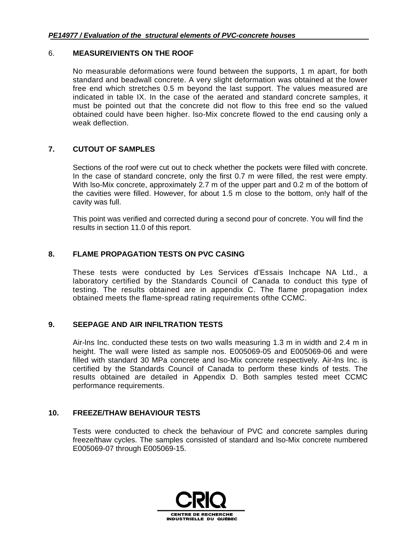#### 6. **MEASUREIVIENTS ON THE ROOF**

No measurable deformations were found between the supports, 1 m apart, for both standard and beadwall concrete. A very slight deformation was obtained at the lower free end which stretches 0.5 m beyond the last support. The values measured are indicated in table IX. In the case of the aerated and standard concrete samples, it must be pointed out that the concrete did not flow to this free end so the valued obtained could have been higher. lso-Mix concrete flowed to the end causing only a weak deflection.

## **7. CUTOUT OF SAMPLES**

Sections of the roof were cut out to check whether the pockets were filled with concrete. In the case of standard concrete, only the first 0.7 m were filled, the rest were empty. With lso-Mix concrete, approximately 2.7 m of the upper part and 0.2 m of the bottom of the cavities were filled. However, for about 1.5 m close to the bottom, on!y half of the cavity was full.

This point was verified and corrected during a second pour of concrete. You will find the results in section 11.0 of this report.

## **8. FLAME PROPAGATION TESTS ON PVC CASING**

These tests were conducted by Les Services d'Essais Inchcape NA Ltd., a laboratory certified by the Standards Council of Canada to conduct this type of testing. The results obtained are in appendix C. The flame propagation index obtained meets the flame-spread rating requirements ofthe CCMC.

## **9. SEEPAGE AND AIR INFILTRATION TESTS**

Air-lns Inc. conducted these tests on two walls measuring 1.3 m in width and 2.4 m in height. The wall were listed as sample nos. E005069-05 and E005069-06 and were filled with standard 30 MPa concrete and lso-Mix concrete respectively. Air-lns Inc. is certified by the Standards Council of Canada to perform these kinds of tests. The results obtained are detailed in Appendix D. Both samples tested meet CCMC performance requirements.

## **10. FREEZE/THAW BEHAVIOUR TESTS**

Tests were conducted to check the behaviour of PVC and concrete samples during freeze/thaw cycles. The samples consisted of standard and lso-Mix concrete numbered E005069-07 through E005069-15.

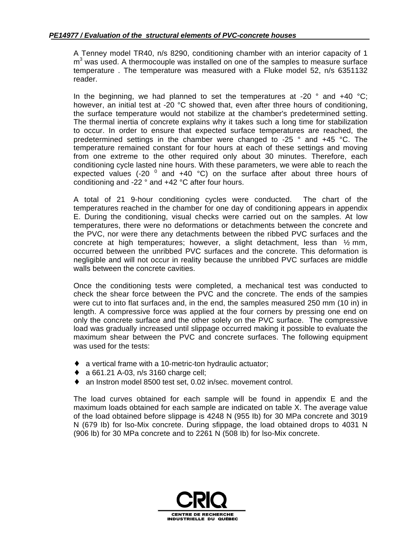A Tenney model TR40, n/s 8290, conditioning chamber with an interior capacity of 1 m<sup>3</sup> was used. A thermocouple was installed on one of the samples to measure surface temperature . The temperature was measured with a Fluke model 52, n/s 6351132 reader.

In the beginning, we had planned to set the temperatures at -20  $\degree$  and +40  $\degree$ C; however, an initial test at -20 °C showed that, even after three hours of conditioning, the surface temperature would not stabilize at the chamber's predetermined setting. The thermal inertia of concrete explains why it takes such a long time for stabilization to occur. In order to ensure that expected surface temperatures are reached, the predetermined settings in the chamber were changed to -25 ° and +45 °C. The temperature remained constant for four hours at each of these settings and moving from one extreme to the other required only about 30 minutes. Therefore, each conditioning cycle lasted nine hours. With these parameters, we were able to reach the expected values (-20  $^0$  and +40  $^{\circ}$ C) on the surface after about three hours of conditioning and -22 ° and +42 °C after four hours.

A total of 21 9-hour conditioning cycles were conducted. The chart of the temperatures reached in the chamber for one day of conditioning appears in appendix E. During the conditioning, visual checks were carried out on the samples. At low temperatures, there were no deformations or detachments between the concrete and the PVC, nor were there any detachments between the ribbed PVC surfaces and the concrete at high temperatures; however, a slight detachment, less than  $\frac{1}{2}$  mm, occurred between the unribbed PVC surfaces and the concrete. This deformation is negligible and will not occur in reality because the unribbed PVC surfaces are middle walls between the concrete cavities.

Once the conditioning tests were completed, a mechanical test was conducted to check the shear force between the PVC and the concrete. The ends of the sampies were cut to into flat surfaces and, in the end, the samples measured 250 mm (10 in) in length. A compressive force was applied at the four corners by pressing one end on only the concrete surface and the other solely on the PVC surface. The compressive load was gradually increased until slippage occurred making it possible to evaluate the maximum shear between the PVC and concrete surfaces. The following equipment was used for the tests:

- ♦ a vertical frame with a 10-metric-ton hydraulic actuator;
- ♦ a 661.21 A-03, n/s 3160 charge cell;
- ♦ an Instron model 8500 test set, 0.02 in/sec. movement control.

The load curves obtained for each sample will be found in appendix E and the maximum loads obtained for each sample are indicated on table X. The average value of the load obtained before slippage is 4248 N (955 Ib) for 30 MPa concrete and 3019 N (679 Ib) for lso-Mix concrete. During sfippage, the load obtained drops to 4031 N (906 lb) for 30 MPa concrete and to 2261 N (508 Ib) for lso-Mix concrete.

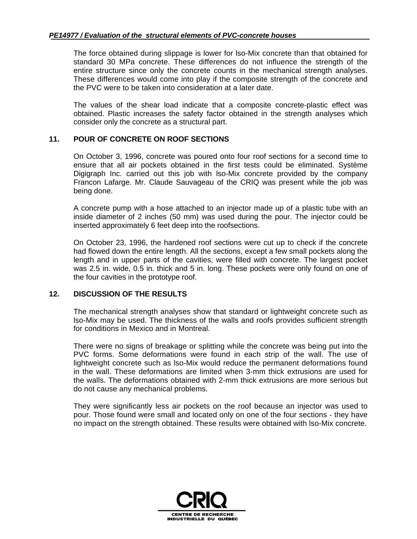The force obtained during slippage is lower for lso-Mix concrete than that obtained for standard 30 MPa concrete. These differences do not influence the strength of the entire structure since only the concrete counts in the mechanical strength analyses. These differences would come into play if the composite strength of the concrete and the PVC were to be taken into consideration at a later date.

The values of the shear load indicate that a composite concrete-plastic effect was obtained. Plastic increases the safety factor obtained in the strength analyses which consider only the concrete as a structural part.

#### **11. POUR OF CONCRETE ON ROOF SECTIONS**

On October 3, 1996, concrete was poured onto four roof sections for a second time to ensure that all air pockets obtained in the first tests could be eliminated. Système Digigraph Inc. carried out this job with lso-Mix concrete provided by the company Francon Lafarge. Mr. Claude Sauvageau of the CRIQ was present while the job was being done.

A concrete pump with a hose attached to an injector made up of a plastic tube with an inside diameter of 2 inches (50 mm) was used during the pour. The injector could be inserted approximately 6 feet deep into the roofsections.

On October 23, 1996, the hardened roof sections were cut up to check if the concrete had flowed down the entire length. All the sections, except a few small pockets along the length and in upper parts of the cavities, were filled with concrete. The largest pocket was 2.5 in. wide, 0.5 in. thick and 5 in. long. These pockets were only found on one of the four cavities in the prototype roof.

#### **12. DISCUSSION OF THE RESULTS**

The mechanical strength analyses show that standard or lightweight concrete such as lso-Mix may be used. The thickness of the walls and roofs provides sufficient strength for conditions in Mexico and in Montreal.

There were no signs of breakage or splitting while the concrete was being put into the PVC forms. Some deformations were found in each strip of the wall. The use of lightweight concrete such as lso-Mix would reduce the permanent deformations found in the wall. These deformations are limited when 3-mm thick extrusions are used for the walls. The deformations obtained with 2-mm thick extrusions are more serious but do not cause any mechanical problems.

They were significantly less air pockets on the roof because an injector was used to pour. Those found were small and located only on one of the four sections - they have no impact on the strength obtained. These results were obtained with lso-Mix concrete.

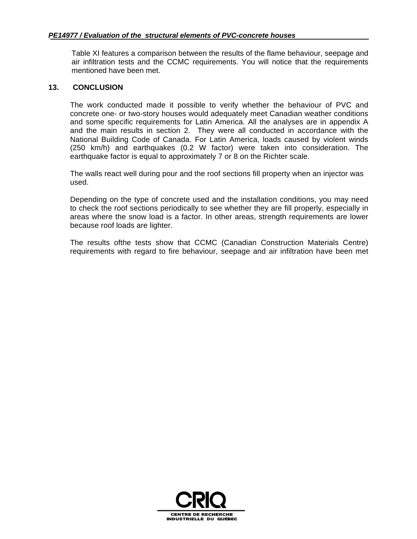Table XI features a comparison between the results of the flame behaviour, seepage and air infiltration tests and the CCMC requirements. You will notice that the requirements mentioned have been met.

#### **13. CONCLUSION**

The work conducted made it possible to verify whether the behaviour of PVC and concrete one- or two-story houses would adequately meet Canadian weather conditions and some specific requirements for Latin America. All the analyses are in appendix A and the main results in section 2. They were all conducted in accordance with the National Building Code of Canada. For Latin America, loads caused by violent winds (250 km/h) and earthquakes (0.2 W factor) were taken into consideration. The earthquake factor is equal to approximately 7 or 8 on the Richter scale.

The walls react well during pour and the roof sections fill property when an injector was used.

Depending on the type of concrete used and the installation conditions, you may need to check the roof sections periodically to see whether they are fill properly, especially in areas where the snow load is a factor. In other areas, strength requirements are lower because roof loads are lighter.

The results ofthe tests show that CCMC (Canadian Construction Materials Centre) requirements with regard to fire behaviour, seepage and air infiltration have been met

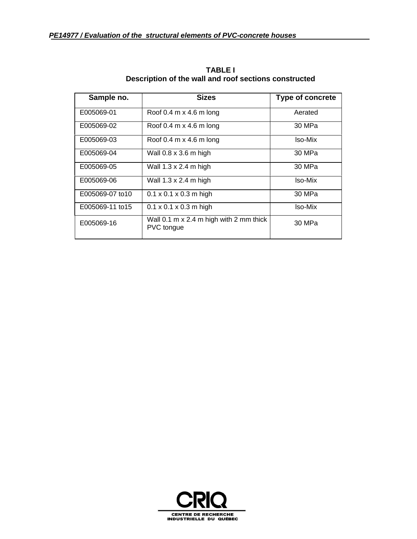| Sample no.       | <b>Sizes</b>                                                                 | <b>Type of concrete</b> |
|------------------|------------------------------------------------------------------------------|-------------------------|
| E005069-01       | Roof 0.4 $m \times 4.6$ m long                                               | Aerated                 |
| E005069-02       | Roof 0.4 $m \times 4.6$ m long                                               | 30 MPa                  |
| E005069-03       | Roof 0.4 m $\times$ 4.6 m long                                               | Iso-Mix                 |
| E005069-04       | Wall 0.8 x 3.6 m high                                                        | 30 MPa                  |
| E005069-05       | Wall 1.3 x 2.4 m high                                                        | 30 MPa                  |
| E005069-06       | Wall 1.3 x 2.4 m high                                                        | Iso-Mix                 |
| E005069-07 to 10 | $0.1 \times 0.1 \times 0.3$ m high                                           | 30 MPa                  |
| E005069-11 to15  | $0.1 \times 0.1 \times 0.3$ m high                                           | Iso-Mix                 |
| E005069-16       | Wall $0.1 \text{ m} \times 2.4 \text{ m}$ high with 2 mm thick<br>PVC tongue | 30 MPa                  |

**TABLE I Description of the wall and roof sections constructed**

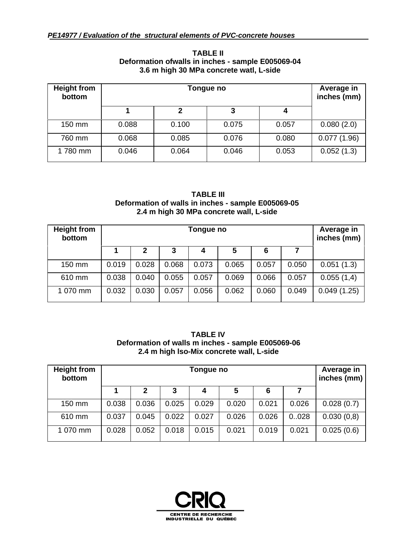| <b>Height from</b><br>bottom |       | Average in<br>inches (mm) |       |       |             |  |  |  |
|------------------------------|-------|---------------------------|-------|-------|-------------|--|--|--|
|                              |       | 4                         |       |       |             |  |  |  |
| 150 mm                       | 0.088 | 0.100                     | 0.075 | 0.057 | 0.080(2.0)  |  |  |  |
| 760 mm                       | 0.068 | 0.085                     | 0.076 | 0.080 | 0.077(1.96) |  |  |  |
| 1780 mm                      | 0.046 | 0.064                     | 0.046 | 0.053 | 0.052(1.3)  |  |  |  |

#### **TABLE II Deformation ofwalls in inches - sample E005069-04 3.6 m high 30 MPa concrete watl, L-side**

#### **TABLE III Deformation of walls in inches - sample E005069-05 2.4 m high 30 MPa concrete wall, L-side**

| <b>Height from</b><br>bottom |                       | Average in<br>inches (mm) |       |       |       |       |       |             |
|------------------------------|-----------------------|---------------------------|-------|-------|-------|-------|-------|-------------|
|                              | 5<br>3<br>6<br>2<br>4 |                           |       |       |       |       |       |             |
| 150 mm                       | 0.019                 | 0.028                     | 0.068 | 0.073 | 0.065 | 0.057 | 0.050 | 0.051(1.3)  |
| 610 mm                       | 0.038                 | 0.040                     | 0.055 | 0.057 | 0.069 | 0.066 | 0.057 | 0.055(1,4)  |
| 1 070 mm                     | 0.032                 | 0.030                     | 0.057 | 0.056 | 0.062 | 0.060 | 0.049 | 0.049(1.25) |

## **TABLE IV Deformation of walls m inches - sample E005069-06 2.4 m high lso-Mix concrete wall, L-side**

| <b>Height from</b><br>bottom |       | Average in<br>inches (mm) |       |       |       |       |       |            |
|------------------------------|-------|---------------------------|-------|-------|-------|-------|-------|------------|
|                              |       | 2                         | 3     | 4     | 5     | 6     |       |            |
| 150 mm                       | 0.038 | 0.036                     | 0.025 | 0.029 | 0.020 | 0.021 | 0.026 | 0.028(0.7) |
| 610 mm                       | 0.037 | 0.045                     | 0.022 | 0.027 | 0.026 | 0.026 | 0.028 | 0.030(0,8) |
| 1 070 mm                     | 0.028 | 0.052                     | 0.018 | 0.015 | 0.021 | 0.019 | 0.021 | 0.025(0.6) |

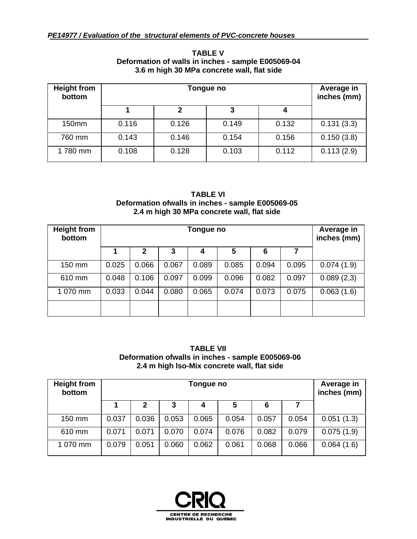| <b>Height from</b><br>bottom |       | Average in<br>inches (mm) |       |       |            |  |  |  |
|------------------------------|-------|---------------------------|-------|-------|------------|--|--|--|
|                              |       | 2                         |       |       |            |  |  |  |
| 150mm                        | 0.116 | 0.126                     | 0.149 | 0.132 | 0.131(3.3) |  |  |  |
| 760 mm                       | 0.143 | 0.146                     | 0.154 | 0.156 | 0.150(3.8) |  |  |  |
| 1780 mm                      | 0.108 | 0.128                     | 0.103 | 0.112 | 0.113(2.9) |  |  |  |

#### **TABLE V Deformation of walls in inches - sample E005069-04 3.6 m high 30 MPa concrete wall, flat side**

#### **TABLE VI Deformation ofwalls in inches - sample E005069-05 2.4 m high 30 MPa concrete wall, flat side**

| <b>Height from</b><br>bottom |       | Average in<br>inches (mm) |       |       |       |       |       |            |
|------------------------------|-------|---------------------------|-------|-------|-------|-------|-------|------------|
|                              |       | $\mathbf{2}$              | 3     | 4     | 5     | 6     |       |            |
| 150 mm                       | 0.025 | 0.066                     | 0.067 | 0.089 | 0.085 | 0.094 | 0.095 | 0.074(1.9) |
| 610 mm                       | 0.048 | 0.106                     | 0.097 | 0.099 | 0.096 | 0.082 | 0.097 | 0.089(2,3) |
| 1 070 mm                     | 0.033 | 0.044                     | 0.080 | 0.065 | 0.074 | 0.073 | 0.075 | 0.063(1.6) |
|                              |       |                           |       |       |       |       |       |            |

#### **TABLE VII Deformation ofwalls in inches - sample E005069-06 2.4 m high lso-Mix concrete wall, flat side**

| <b>Height from</b><br>bottom |       | Average in<br>inches (mm) |       |       |       |       |       |            |
|------------------------------|-------|---------------------------|-------|-------|-------|-------|-------|------------|
|                              |       | 2                         | 3     | 4     | 5     | 6     |       |            |
| 150 mm                       | 0.037 | 0.036                     | 0.053 | 0.065 | 0.054 | 0.057 | 0.054 | 0.051(1.3) |
| 610 mm                       | 0.071 | 0.071                     | 0.070 | 0.074 | 0.076 | 0.082 | 0.079 | 0.075(1.9) |
| 1 070 mm                     | 0.079 | 0.051                     | 0.060 | 0.062 | 0.061 | 0.068 | 0.066 | 0.064(1.6) |

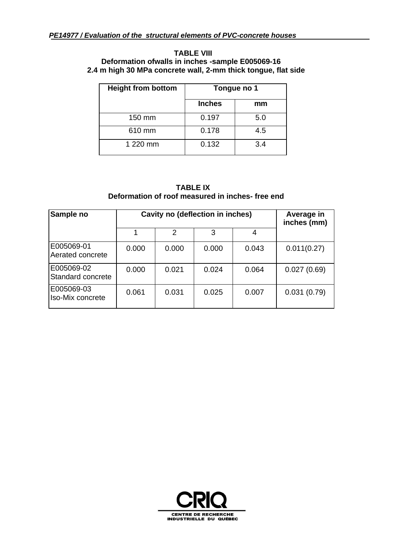#### **TABLE VIII Deformation ofwalls in inches -sample E005069-16 2.4 m high 30 MPa concrete wall, 2-mm thick tongue, flat side**

| <b>Height from bottom</b> | Tongue no 1   |     |  |  |
|---------------------------|---------------|-----|--|--|
|                           | <b>Inches</b> | mm  |  |  |
| 150 mm                    | 0.197         | 5.0 |  |  |
| 610 mm                    | 0.178         | 4.5 |  |  |
| 1 220 mm                  | 0.132         | 3.4 |  |  |

#### **TABLE IX Deformation of roof measured in inches- free end**

| Sample no                       | Cavity no (deflection in inches) | Average in<br>inches (mm) |       |       |             |
|---------------------------------|----------------------------------|---------------------------|-------|-------|-------------|
|                                 |                                  | $\mathcal{P}$             | 3     | 4     |             |
| E005069-01<br>Aerated concrete  | 0.000                            | 0.000                     | 0.000 | 0.043 | 0.011(0.27) |
| E005069-02<br>Standard concrete | 0.000                            | 0.021                     | 0.024 | 0.064 | 0.027(0.69) |
| E005069-03<br>Iso-Mix concrete  | 0.061                            | 0.031                     | 0.025 | 0.007 | 0.031(0.79) |